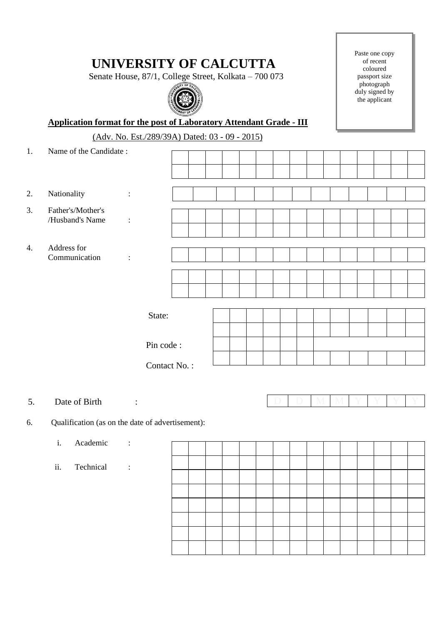## **UNIVERSITY OF CALCUTTA**

Senate House, 87/1, College Street, Kolkata – 700 073



Paste one copy of recent coloured passport size photograph duly signed by the applicant

 **Application format for the post of Laboratory Attendant Grade - III**

(Adv. No. Est./289/39A) Dated: 03 - 09 - 2015)

| 1. | Name of the Candidate: |                      |           |  |  |  |  |  |  |  |
|----|------------------------|----------------------|-----------|--|--|--|--|--|--|--|
|    |                        |                      |           |  |  |  |  |  |  |  |
|    |                        |                      |           |  |  |  |  |  |  |  |
|    |                        |                      |           |  |  |  |  |  |  |  |
| 2. | Nationality            | $\ddot{\cdot}$       |           |  |  |  |  |  |  |  |
| 3. | Father's/Mother's      |                      |           |  |  |  |  |  |  |  |
|    | /Husband's Name        | $\ddot{\phantom{a}}$ |           |  |  |  |  |  |  |  |
|    |                        |                      |           |  |  |  |  |  |  |  |
| 4. | Address for            |                      |           |  |  |  |  |  |  |  |
|    | Communication          | $\ddot{\phantom{a}}$ |           |  |  |  |  |  |  |  |
|    |                        |                      |           |  |  |  |  |  |  |  |
|    |                        |                      |           |  |  |  |  |  |  |  |
|    |                        |                      |           |  |  |  |  |  |  |  |
|    |                        |                      |           |  |  |  |  |  |  |  |
|    | State:                 |                      |           |  |  |  |  |  |  |  |
|    |                        |                      |           |  |  |  |  |  |  |  |
|    |                        |                      | Pin code: |  |  |  |  |  |  |  |
|    |                        |                      |           |  |  |  |  |  |  |  |
|    | Contact No.:           |                      |           |  |  |  |  |  |  |  |
|    |                        |                      |           |  |  |  |  |  |  |  |
|    |                        |                      |           |  |  |  |  |  |  |  |
| 5. | Date of Birth          | $\ddot{\cdot}$       |           |  |  |  |  |  |  |  |

6. Qualification (as on the date of advertisement):

i. Academic : ii. Technical :